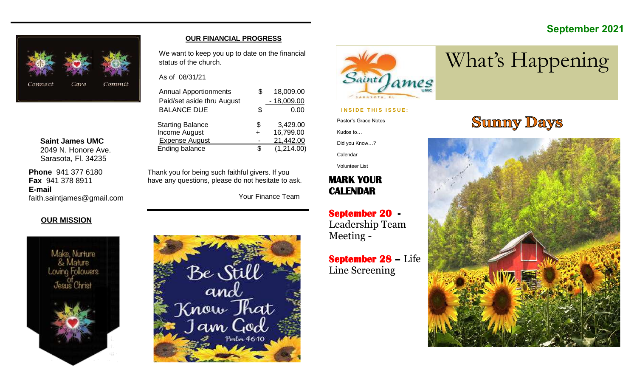#### **September 2021**



**Saint James UMC** 2049 N. Honore Ave. Sarasota, Fl. 34235

**Phone** 941 377 6180 **Fax** 941 378 8911 **E-mail** faith.saintjames@gmail.com

#### **OUR FINANCIAL PROGRESS**

We want to keep you up to date on the financial status of the church.

As of 08/31/21

| <b>Annual Apportionments</b> |    | 18,009.00    |
|------------------------------|----|--------------|
| Paid/set aside thru August   |    | $-18,009.00$ |
| <b>BALANCE DUE</b>           | S  | 0.00         |
| <b>Starting Balance</b>      | \$ | 3,429.00     |
| <b>Income August</b>         |    | 16,799.00    |
| <b>Expense August</b>        |    | 21,442.00    |
| Ending balance               |    | (1,214.00)   |

Thank you for being such faithful givers. If you have any questions, please do not hesitate to ask.

Your Finance Team

#### **OUR MISSION**



# Be Still<br>and<br>Jam God



#### **INSIDE THIS ISSUE:**

Pastor's Grace Notes

Kudos to…

Did you Know…?

Calendar

Volunteer List

#### **MARK YOUR CALENDAR**

**September 20 -**  Leadership Team Meeting -

**September 28 –** Life Line Screening

# **Sunny Days**

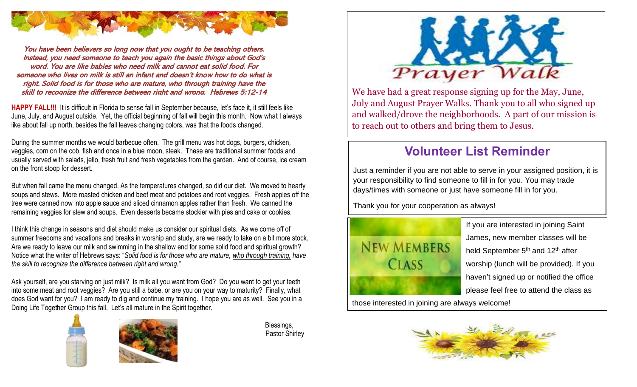

You have been believers so long now that you ought to be teaching others. Instead, you need someone to teach you again the basic things about God's word. You are like babies who need milk and cannot eat solid food. For someone who lives on milk is still an infant and doesn't know how to do what is right. Solid food is for those who are mature, who through training have the skill to recognize the difference between right and wrong. Hebrews 5:12-14

**HAPPY FALL!!!** It is difficult in Florida to sense fall in September because, let's face it, it still feels like June, July, and August outside. Yet, the official beginning of fall will begin this month. Now what I always like about fall up north, besides the fall leaves changing colors, was that the foods changed.

During the summer months we would barbecue often. The grill menu was hot dogs, burgers, chicken, veggies, corn on the cob, fish and once in a blue moon, steak. These are traditional summer foods and usually served with salads, jello, fresh fruit and fresh vegetables from the garden. And of course, ice cream on the front stoop for dessert.

But when fall came the menu changed. As the temperatures changed, so did our diet. We moved to hearty soups and stews. More roasted chicken and beef meat and potatoes and root veggies. Fresh apples off the tree were canned now into apple sauce and sliced cinnamon apples rather than fresh. We canned the remaining veggies for stew and soups. Even desserts became stockier with pies and cake or cookies.

I think this change in seasons and diet should make us consider our spiritual diets. As we come off of summer freedoms and vacations and breaks in worship and study, are we ready to take on a bit more stock. Are we ready to leave our milk and swimming in the shallow end for some solid food and spiritual growth? Notice what the writer of Hebrews says: "*Solid food is for those who are mature, who through training, have the skill to recognize the difference between right and wrong."*

Ask yourself, are you starving on just milk? Is milk all you want from God? Do you want to get your teeth into some meat and root veggies? Are you still a babe, or are you on your way to maturity? Finally, what does God want for you? I am ready to dig and continue my training. I hope you are as well. See you in a Doing Life Together Group this fall. Let's all mature in the Spirit together.





 Blessings, Pastor Shirley



We have had a great response signing up for the May, June, July and August Prayer Walks. Thank you to all who signed up and walked/drove the neighborhoods. A part of our mission is to reach out to others and bring them to Jesus.

### **Volunteer List Reminder**

Just a reminder if you are not able to serve in your assigned position, it is your responsibility to find someone to fill in for you. You may trade days/times with someone or just have someone fill in for you.

Thank you for your cooperation as always!



If you are interested in joining Saint James, new member classes will be held September 5<sup>th</sup> and 12<sup>th</sup> after worship (lunch will be provided). If you haven't signed up or notified the office please feel free to attend the class as

those interested in joining are always welcome!

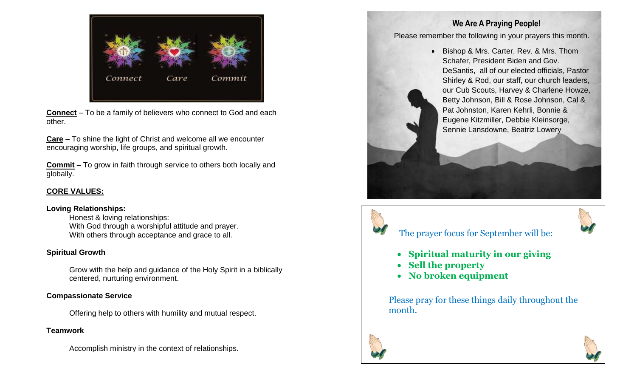

**Connect** – To be a family of believers who connect to God and each other.

**Care** – To shine the light of Christ and welcome all we encounter encouraging worship, life groups, and spiritual growth.

**Commit** – To grow in faith through service to others both locally and globally.

#### **CORE VALUES:**

#### **Loving Relationships:**

Honest & loving relationships: With God through a worshipful attitude and prayer. With others through acceptance and grace to all.

#### **Spiritual Growth**

Grow with the help and guidance of the Holy Spirit in a biblically centered, nurturing environment.

#### **Compassionate Service**

Offering help to others with humility and mutual respect.

#### **Teamwork**

Accomplish ministry in the context of relationships.

#### **We Are A Praying People!**

Please remember the following in your prayers this month.

• Bishop & Mrs. Carter, Rev. & Mrs. Thom Schafer, President Biden and Gov. DeSantis, all of our elected officials, Pastor Shirley & Rod, our staff, our church leaders, our Cub Scouts, Harvey & Charlene Howze, Betty Johnson, Bill & Rose Johnson, Cal & Pat Johnston, Karen Kehrli, Bonnie & Eugene Kitzmiller, Debbie Kleinsorge, Sennie Lansdowne, Beatriz Lowery



#### The prayer focus for September will be:

- **Spiritual maturity in our giving**
- **Sell the property**
- **No broken equipment**

Please pray for these things daily throughout the month.



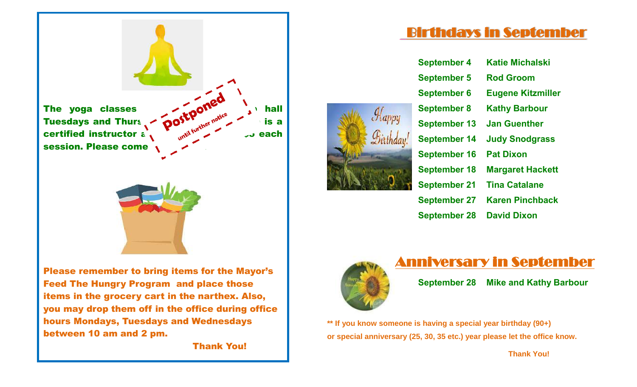

Please remember to bring items for the Mayor's Feed The Hungry Program and place those items in the grocery cart in the narthex. Also, you may drop them off in the office during office hours Mondays, Tuesdays and Wednesdays between 10 am and 2 pm.

Thank You!

# Birthdays in September

| $\mathcal{A}_{appy}$ |  |
|----------------------|--|
| <b>Firthday!</b>     |  |
|                      |  |
|                      |  |
|                      |  |

| <b>September 4</b>  | <b>Katie Michalski</b>   |
|---------------------|--------------------------|
| <b>September 5</b>  | <b>Rod Groom</b>         |
| <b>September 6</b>  | <b>Eugene Kitzmiller</b> |
| <b>September 8</b>  | <b>Kathy Barbour</b>     |
| <b>September 13</b> | <b>Jan Guenther</b>      |
| <b>September 14</b> | <b>Judy Snodgrass</b>    |
| <b>September 16</b> | <b>Pat Dixon</b>         |
| <b>September 18</b> | <b>Margaret Hackett</b>  |
| <b>September 21</b> | <b>Tina Catalane</b>     |
| <b>September 27</b> | <b>Karen Pinchback</b>   |
| <b>September 28</b> | <b>David Dixon</b>       |
|                     |                          |



## Anniversary in September

**September 28 Mike and Kathy Barbour**

**\*\* If you know someone is having a special year birthday (90+) or special anniversary (25, 30, 35 etc.) year please let the office know.** 

 **Thank You!**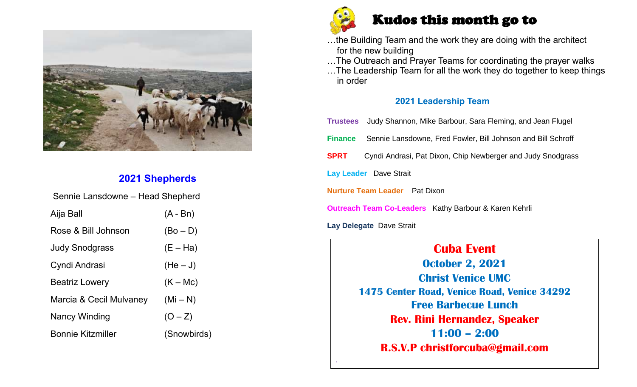

#### **2021 Shepherds**

| Sennie Lansdowne - Head Shepherd |             |  |  |  |  |  |  |
|----------------------------------|-------------|--|--|--|--|--|--|
| Aija Ball                        | $(A - Bn)$  |  |  |  |  |  |  |
| Rose & Bill Johnson              | $(Bo - D)$  |  |  |  |  |  |  |
| <b>Judy Snodgrass</b>            | $(E - Ha)$  |  |  |  |  |  |  |
| Cyndi Andrasi                    | $(He-J)$    |  |  |  |  |  |  |
| <b>Beatriz Lowery</b>            | $(K - Mc)$  |  |  |  |  |  |  |
| Marcia & Cecil Mulvaney          | $(Mi-N)$    |  |  |  |  |  |  |
| Nancy Winding                    | $(O - Z)$   |  |  |  |  |  |  |
| <b>Bonnie Kitzmiller</b>         | (Snowbirds) |  |  |  |  |  |  |



.

# Kudos this month go to

…the Building Team and the work they are doing with the architect for the new building

…The Outreach and Prayer Teams for coordinating the prayer walks

…The Leadership Team for all the work they do together to keep things in order

#### **2021 Leadership Team**

| Judy Shannon, Mike Barbour, Sara Fleming, and Jean Flugel<br><b>Trustees</b>   |  |  |  |  |  |  |  |
|--------------------------------------------------------------------------------|--|--|--|--|--|--|--|
| Sennie Lansdowne, Fred Fowler, Bill Johnson and Bill Schroff<br><b>Finance</b> |  |  |  |  |  |  |  |
| Cyndi Andrasi, Pat Dixon, Chip Newberger and Judy Snodgrass<br><b>SPRT</b>     |  |  |  |  |  |  |  |
| Lay Leader Dave Strait                                                         |  |  |  |  |  |  |  |
| <b>Nurture Team Leader</b> Pat Dixon                                           |  |  |  |  |  |  |  |
| <b>Outreach Team Co-Leaders</b> Kathy Barbour & Karen Kehrli                   |  |  |  |  |  |  |  |
| Lay Delegate Dave Strait                                                       |  |  |  |  |  |  |  |

**Cuba Event October 2, 2021 Christ Venice UMC 1475 Center Road, Venice Road, Venice 34292 Free Barbecue Lunch Rev. Rini Hernandez, Speaker 11:00 – 2:00 R.S.V.P christforcuba@gmail.com**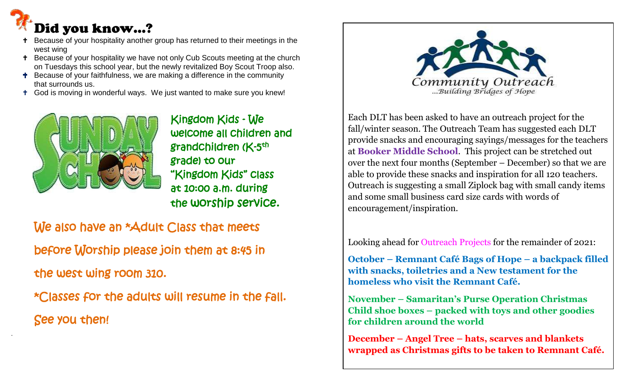# Did you know…?

ľ

- Because of your hospitality another group has returned to their meetings in the west wing
- <sup>+</sup> Because of your hospitality we have not only Cub Scouts meeting at the church on Tuesdays this school year, but the newly revitalized Boy Scout Troop also.
- **T** Because of your faithfulness, we are making a difference in the community that surrounds us.
- God is moving in wonderful ways. We just wanted to make sure you knew!



 Kingdom Kids - We welcome all children and grade) to our "Kingdom Kids" class at 10:00 a.m. during the worship service.

We also have an \*Adult Class that meets before Worship please join them at 8:45 in the west wing room 310. \*Classes for the adults will resume in the fall. See you then!



Each DLT has been asked to have an outreach project for the fall/winter season. The Outreach Team has suggested each DLT provide snacks and encouraging sayings/messages for the teachers at **Booker Middle School**. This project can be stretched out over the next four months (September – December) so that we are able to provide these snacks and inspiration for all 120 teachers. Outreach is suggesting a small Ziplock bag with small candy items and some small business card size cards with words of encouragement/inspiration.

Looking ahead for Outreach Projects for the remainder of 2021:

**October – Remnant Café Bags of Hope – a backpack filled with snacks, toiletries and a New testament for the homeless who visit the Remnant Café.**

**November – Samaritan's Purse Operation Christmas Child shoe boxes – packed with toys and other goodies for children around the world**

**December – Angel Tree – hats, scarves and blankets wrapped as Christmas gifts to be taken to Remnant Café.**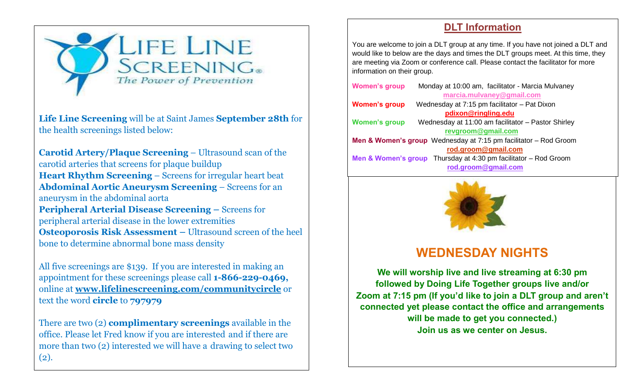

**Life Line Screening** will be at Saint James **September 28th** for the health screenings listed below:

**Carotid Artery/Plaque Screening** – Ultrasound scan of the carotid arteries that screens for plaque buildup **Heart Rhythm Screening** – Screens for irregular heart beat **Abdominal Aortic Aneurysm Screening** – Screens for an aneurysm in the abdominal aorta **Peripheral Arterial Disease Screening –** Screens for peripheral arterial disease in the lower extremities **Osteoporosis Risk Assessment –** Ultrasound screen of the heel bone to determine abnormal bone mass density

All five screenings are \$139. If you are interested in making an appointment for these screenings please call **1-866-229-0469,** online at **[www.lifelinescreening.com/communitycircle](http://www.lifelinescreening.com/communitycircle)** or text the word **circle** to **797979**

There are two (2) **complimentary screenings** available in the office. Please let Fred know if you are interested and if there are more than two (2) interested we will have a drawing to select two (2).

#### **DLT Information**

You are welcome to join a DLT group at any time. If you have not joined a DLT and would like to below are the days and times the DLT groups meet. At this time, they are meeting via Zoom or conference call. Please contact the facilitator for more information on their group.

| <b>Women's group</b> | Monday at 10:00 am, facilitator - Marcia Mulvaney                               |
|----------------------|---------------------------------------------------------------------------------|
|                      | marcia.mulvaney@gmail.com                                                       |
| <b>Women's group</b> | Wednesday at 7:15 pm facilitator - Pat Dixon                                    |
|                      | pdixon@ringling.edu                                                             |
| <b>Women's group</b> | Wednesday at 11:00 am facilitator - Pastor Shirley                              |
|                      | revgroom@gmail.com                                                              |
|                      | <b>Men &amp; Women's group</b> Wednesday at $7:15$ pm facilitator $-$ Rod Groom |
|                      | rod.groom@gmail.com                                                             |
|                      | <b>Men &amp; Women's group</b> Thursday at 4:30 pm facilitator $-$ Rod Groom    |
|                      | rod.groom@gmail.com                                                             |
|                      |                                                                                 |



## **WEDNESDAY NIGHTS**

**We will worship live and live streaming at 6:30 pm followed by Doing Life Together groups live and/or Zoom at 7:15 pm (If you'd like to join a DLT group and aren't connected yet please contact the office and arrangements will be made to get you connected.) Join us as we center on Jesus.**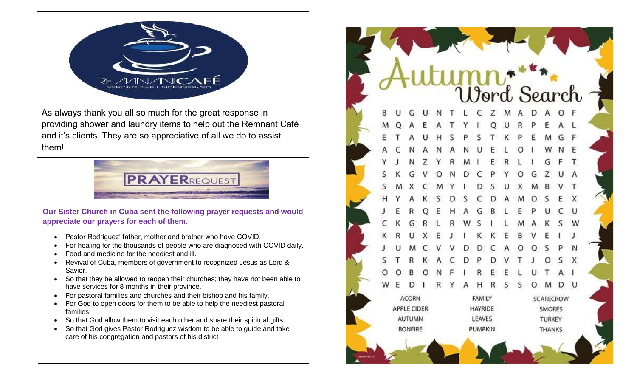

As always thank you all so much for the great response in providing shower and laundry items to help out the Remnant Café and it's clients. They are so appreciative of all we do to assist them!



**Our Sister Church in Cuba sent the following prayer requests and would appreciate our prayers for each of them.** 

- Pastor Rodriguez' father, mother and brother who have COVID.
- For healing for the thousands of people who are diagnosed with COVID daily.
- Food and medicine for the neediest and ill.
- Revival of Cuba, members of government to recognized Jesus as Lord & Savior.
- So that they be allowed to reopen their churches; they have not been able to have services for 8 months in their province.
- For pastoral families and churches and their bishop and his family.
- For God to open doors for them to be able to help the neediest pastoral families
- So that God allow them to visit each other and share their spiritual gifts.
- So that God gives Pastor Rodriguez wisdom to be able to guide and take care of his congregation and pastors of his district

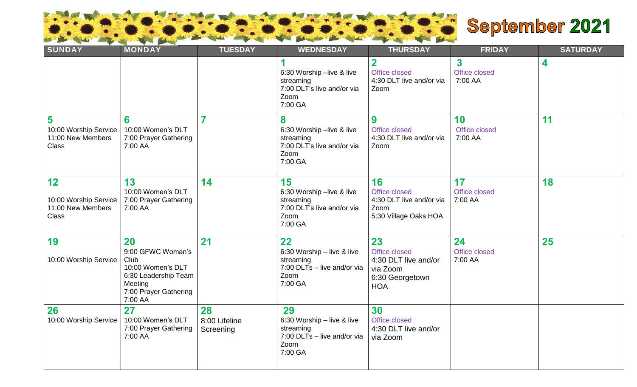

# September 2021

| $\sim$ $\sim$<br><b>SUNDAY</b>                                   | MONDAY                                                                                                                      | <b>TUESDAY</b>                   | <b>WEDNESDAY</b>                                                                                | <b>THURSDAY</b>                                                                          | <b>FRIDAY</b>                                       | <b>SATURDAY</b> |
|------------------------------------------------------------------|-----------------------------------------------------------------------------------------------------------------------------|----------------------------------|-------------------------------------------------------------------------------------------------|------------------------------------------------------------------------------------------|-----------------------------------------------------|-----------------|
|                                                                  |                                                                                                                             |                                  | 6:30 Worship -live & live<br>streaming<br>7:00 DLT's live and/or via<br>Zoom<br>7:00 GA         | $\mathbf 2$<br>Office closed<br>4:30 DLT live and/or via<br>Zoom                         | $\overline{\mathbf{3}}$<br>Office closed<br>7:00 AA | 4               |
| 5<br>10:00 Worship Service<br>11:00 New Members<br><b>Class</b>  | 6<br>10:00 Women's DLT<br>7:00 Prayer Gathering<br>7:00 AA                                                                  | 7                                | 8<br>6:30 Worship -live & live<br>streaming<br>7:00 DLT's live and/or via<br>Zoom<br>7:00 GA    | 9<br>Office closed<br>4:30 DLT live and/or via<br>Zoom                                   | 10<br>Office closed<br>7:00 AA                      | 11              |
| 12<br>10:00 Worship Service<br>11:00 New Members<br><b>Class</b> | 13<br>10:00 Women's DLT<br>7:00 Prayer Gathering<br>7:00 AA                                                                 | 14                               | 15<br>6:30 Worship -live & live<br>streaming<br>7:00 DLT's live and/or via<br>Zoom<br>7:00 GA   | 16<br>Office closed<br>4:30 DLT live and/or via<br>Zoom<br>5:30 Village Oaks HOA         | 17<br>Office closed<br>7:00 AA                      | 18              |
| 19<br>10:00 Worship Service                                      | 20<br>9:00 GFWC Woman's<br>Club<br>10:00 Women's DLT<br>6:30 Leadership Team<br>Meeting<br>7:00 Prayer Gathering<br>7:00 AA | 21                               | 22<br>6:30 Worship - live & live<br>streaming<br>7:00 DLTs - live and/or via<br>Zoom<br>7:00 GA | 23<br>Office closed<br>4:30 DLT live and/or<br>via Zoom<br>6:30 Georgetown<br><b>HOA</b> | 24<br>Office closed<br>7:00 AA                      | 25              |
| 26<br>10:00 Worship Service                                      | 27<br>10:00 Women's DLT<br>7:00 Prayer Gathering<br>7:00 AA                                                                 | 28<br>8:00 Lifeline<br>Screening | 29<br>6:30 Worship - live & live<br>streaming<br>7:00 DLTs - live and/or via<br>Zoom<br>7:00 GA | 30<br>Office closed<br>4:30 DLT live and/or<br>via Zoom                                  |                                                     |                 |